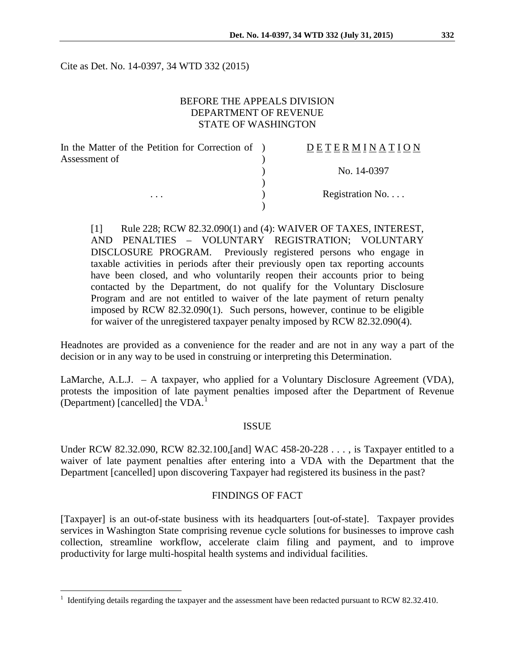Cite as Det. No. 14-0397, 34 WTD 332 (2015)

### BEFORE THE APPEALS DIVISION DEPARTMENT OF REVENUE STATE OF WASHINGTON

| In the Matter of the Petition for Correction of ) | DETERMINATION   |
|---------------------------------------------------|-----------------|
| Assessment of<br>$\cdots$                         |                 |
|                                                   | No. 14-0397     |
|                                                   |                 |
|                                                   | Registration No |
|                                                   |                 |

[1] Rule 228; RCW 82.32.090(1) and (4): WAIVER OF TAXES, INTEREST, AND PENALTIES – VOLUNTARY REGISTRATION; VOLUNTARY DISCLOSURE PROGRAM. Previously registered persons who engage in taxable activities in periods after their previously open tax reporting accounts have been closed, and who voluntarily reopen their accounts prior to being contacted by the Department, do not qualify for the Voluntary Disclosure Program and are not entitled to waiver of the late payment of return penalty imposed by RCW 82.32.090(1). Such persons, however, continue to be eligible for waiver of the unregistered taxpayer penalty imposed by RCW 82.32.090(4).

Headnotes are provided as a convenience for the reader and are not in any way a part of the decision or in any way to be used in construing or interpreting this Determination.

LaMarche, A.L.J. – A taxpayer, who applied for a Voluntary Disclosure Agreement (VDA), protests the imposition of late payment penalties imposed after the Department of Revenue (Department) [cancelled] the  $VDA$ <sup>[1](#page-0-0)</sup>

#### ISSUE

Under RCW 82.32.090, RCW 82.32.100,[and] WAC 458-20-228 . . . , is Taxpayer entitled to a waiver of late payment penalties after entering into a VDA with the Department that the Department [cancelled] upon discovering Taxpayer had registered its business in the past?

### FINDINGS OF FACT

[Taxpayer] is an out-of-state business with its headquarters [out-of-state]. Taxpayer provides services in Washington State comprising revenue cycle solutions for businesses to improve cash collection, streamline workflow, accelerate claim filing and payment, and to improve productivity for large multi-hospital health systems and individual facilities.

<span id="page-0-0"></span> <sup>1</sup> Identifying details regarding the taxpayer and the assessment have been redacted pursuant to RCW 82.32.410.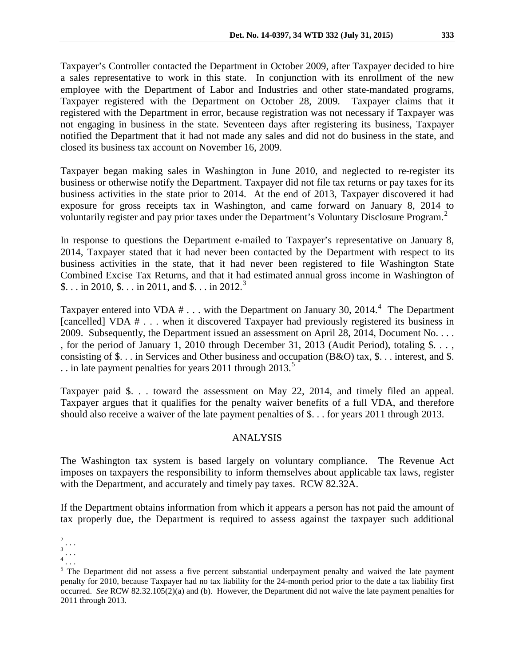Taxpayer's Controller contacted the Department in October 2009, after Taxpayer decided to hire a sales representative to work in this state. In conjunction with its enrollment of the new employee with the Department of Labor and Industries and other state-mandated programs, Taxpayer registered with the Department on October 28, 2009. Taxpayer claims that it registered with the Department in error, because registration was not necessary if Taxpayer was not engaging in business in the state. Seventeen days after registering its business, Taxpayer notified the Department that it had not made any sales and did not do business in the state, and closed its business tax account on November 16, 2009.

Taxpayer began making sales in Washington in June 2010, and neglected to re-register its business or otherwise notify the Department. Taxpayer did not file tax returns or pay taxes for its business activities in the state prior to 2014. At the end of 2013, Taxpayer discovered it had exposure for gross receipts tax in Washington, and came forward on January 8, 2014 to voluntarily register and pay prior taxes under the Department's Voluntary Disclosure Program.<sup>[2](#page-1-0)</sup>

In response to questions the Department e-mailed to Taxpayer's representative on January 8, 2014, Taxpayer stated that it had never been contacted by the Department with respect to its business activities in the state, that it had never been registered to file Washington State Combined Excise Tax Returns, and that it had estimated annual gross income in Washington of \$... in 2010, \$... in 2011, and \$... in 2012.<sup>[3](#page-1-1)</sup>

Taxpayer entered into VDA  $# \dots$  with the Department on January 30, 201[4](#page-1-2).<sup>4</sup> The Department [cancelled] VDA  $#$  . . . when it discovered Taxpayer had previously registered its business in 2009. Subsequently, the Department issued an assessment on April 28, 2014, Document No. . . . , for the period of January 1, 2010 through December 31, 2013 (Audit Period), totaling \$. . . , consisting of \$. . . in Services and Other business and occupation (B&O) tax, \$. . . interest, and \$. .. in late payment penalties for years 2011 through 2013.<sup>[5](#page-1-3)</sup>

Taxpayer paid \$. . . toward the assessment on May 22, 2014, and timely filed an appeal. Taxpayer argues that it qualifies for the penalty waiver benefits of a full VDA, and therefore should also receive a waiver of the late payment penalties of \$. . . for years 2011 through 2013.

# ANALYSIS

The Washington tax system is based largely on voluntary compliance. The Revenue Act imposes on taxpayers the responsibility to inform themselves about applicable tax laws, register with the Department, and accurately and timely pay taxes. RCW 82.32A.

If the Department obtains information from which it appears a person has not paid the amount of tax properly due, the Department is required to assess against the taxpayer such additional

<span id="page-1-0"></span> <sup>2</sup> *. . .* 3 *. . .* 

<span id="page-1-1"></span>

<sup>4</sup> *. . .* 

<span id="page-1-3"></span><span id="page-1-2"></span><sup>&</sup>lt;sup>5</sup> The Department did not assess a five percent substantial underpayment penalty and waived the late payment penalty for 2010, because Taxpayer had no tax liability for the 24-month period prior to the date a tax liability first occurred. *See* RCW 82.32.105(2)(a) and (b). However, the Department did not waive the late payment penalties for 2011 through 2013.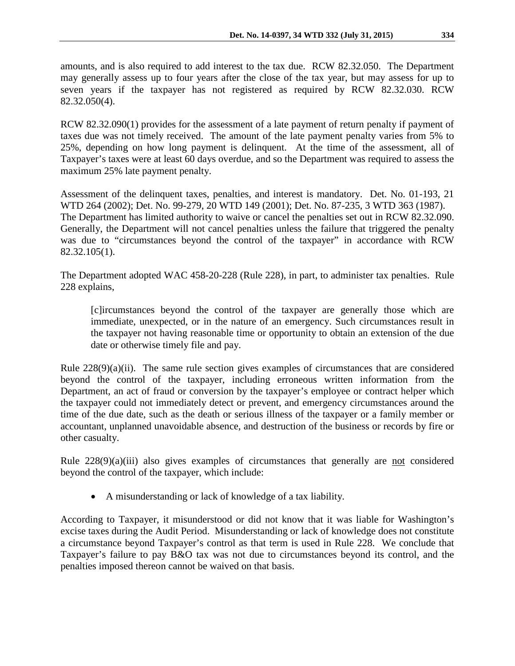amounts, and is also required to add interest to the tax due. RCW 82.32.050. The Department may generally assess up to four years after the close of the tax year, but may assess for up to seven years if the taxpayer has not registered as required by RCW 82.32.030. RCW 82.32.050(4).

RCW 82.32.090(1) provides for the assessment of a late payment of return penalty if payment of taxes due was not timely received. The amount of the late payment penalty varies from 5% to 25%, depending on how long payment is delinquent. At the time of the assessment, all of Taxpayer's taxes were at least 60 days overdue, and so the Department was required to assess the maximum 25% late payment penalty.

Assessment of the delinquent taxes, penalties, and interest is mandatory. Det. No. 01-193, 21 WTD 264 (2002); Det. No. 99-279, 20 WTD 149 (2001); Det. No. 87-235, 3 WTD 363 (1987). The Department has limited authority to waive or cancel the penalties set out in RCW 82.32.090. Generally, the Department will not cancel penalties unless the failure that triggered the penalty was due to "circumstances beyond the control of the taxpayer" in accordance with RCW 82.32.105(1).

The Department adopted WAC 458-20-228 (Rule 228), in part, to administer tax penalties. Rule 228 explains,

[c]ircumstances beyond the control of the taxpayer are generally those which are immediate, unexpected, or in the nature of an emergency. Such circumstances result in the taxpayer not having reasonable time or opportunity to obtain an extension of the due date or otherwise timely file and pay.

Rule  $228(9)(a)(ii)$ . The same rule section gives examples of circumstances that are considered beyond the control of the taxpayer, including erroneous written information from the Department, an act of fraud or conversion by the taxpayer's employee or contract helper which the taxpayer could not immediately detect or prevent, and emergency circumstances around the time of the due date, such as the death or serious illness of the taxpayer or a family member or accountant, unplanned unavoidable absence, and destruction of the business or records by fire or other casualty.

Rule 228(9)(a)(iii) also gives examples of circumstances that generally are not considered beyond the control of the taxpayer, which include:

• A misunderstanding or lack of knowledge of a tax liability.

According to Taxpayer, it misunderstood or did not know that it was liable for Washington's excise taxes during the Audit Period. Misunderstanding or lack of knowledge does not constitute a circumstance beyond Taxpayer's control as that term is used in Rule 228. We conclude that Taxpayer's failure to pay B&O tax was not due to circumstances beyond its control, and the penalties imposed thereon cannot be waived on that basis.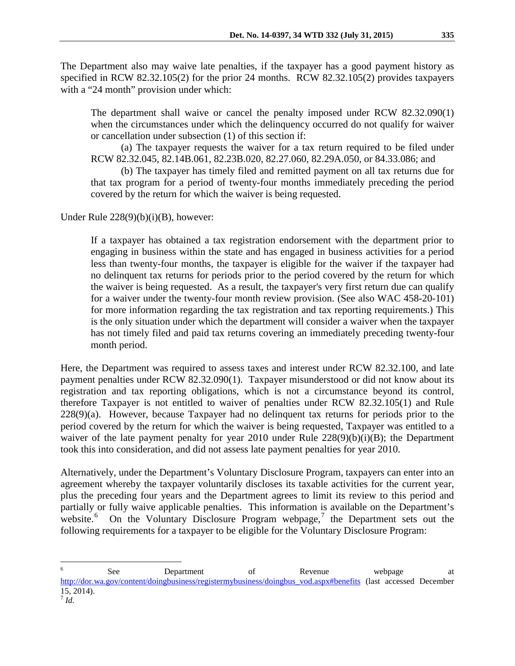The Department also may waive late penalties, if the taxpayer has a good payment history as specified in RCW 82.32.105(2) for the prior 24 months. RCW 82.32.105(2) provides taxpayers with a "24 month" provision under which:

The department shall waive or cancel the penalty imposed under RCW 82.32.090(1) when the circumstances under which the delinquency occurred do not qualify for waiver or cancellation under subsection (1) of this section if:

(a) The taxpayer requests the waiver for a tax return required to be filed under RCW 82.32.045, 82.14B.061, 82.23B.020, 82.27.060, 82.29A.050, or 84.33.086; and

(b) The taxpayer has timely filed and remitted payment on all tax returns due for that tax program for a period of twenty-four months immediately preceding the period covered by the return for which the waiver is being requested.

Under Rule  $228(9)(b)(i)(B)$ , however:

If a taxpayer has obtained a tax registration endorsement with the department prior to engaging in business within the state and has engaged in business activities for a period less than twenty-four months, the taxpayer is eligible for the waiver if the taxpayer had no delinquent tax returns for periods prior to the period covered by the return for which the waiver is being requested. As a result, the taxpayer's very first return due can qualify for a waiver under the twenty-four month review provision. (See also WAC 458-20-101) for more information regarding the tax registration and tax reporting requirements.) This is the only situation under which the department will consider a waiver when the taxpayer has not timely filed and paid tax returns covering an immediately preceding twenty-four month period.

Here, the Department was required to assess taxes and interest under RCW 82.32.100, and late payment penalties under RCW 82.32.090(1). Taxpayer misunderstood or did not know about its registration and tax reporting obligations, which is not a circumstance beyond its control, therefore Taxpayer is not entitled to waiver of penalties under RCW 82.32.105(1) and Rule  $228(9)(a)$ . However, because Taxpayer had no delinquent tax returns for periods prior to the period covered by the return for which the waiver is being requested, Taxpayer was entitled to a waiver of the late payment penalty for year 2010 under Rule  $228(9)(b)(i)(B)$ ; the Department took this into consideration, and did not assess late payment penalties for year 2010.

Alternatively, under the Department's Voluntary Disclosure Program, taxpayers can enter into an agreement whereby the taxpayer voluntarily discloses its taxable activities for the current year, plus the preceding four years and the Department agrees to limit its review to this period and partially or fully waive applicable penalties. This information is available on the Department's website.<sup>[6](#page-3-0)</sup> On the Voluntary Disclosure Program webpage,<sup>[7](#page-3-1)</sup> the Department sets out the following requirements for a taxpayer to be eligible for the Voluntary Disclosure Program:

<span id="page-3-0"></span>e a see Department of Revenue webpage at a see a see all the Revenue webpage at a metal of  $\alpha$ [http://dor.wa.gov/content/doingbusiness/registermybusiness/doingbus\\_vod.aspx#benefits](http://dor.wa.gov/content/doingbusiness/registermybusiness/doingbus_vod.aspx%23benefits) (last accessed December 15, 2014).

<span id="page-3-1"></span> $^7$  *Id.*